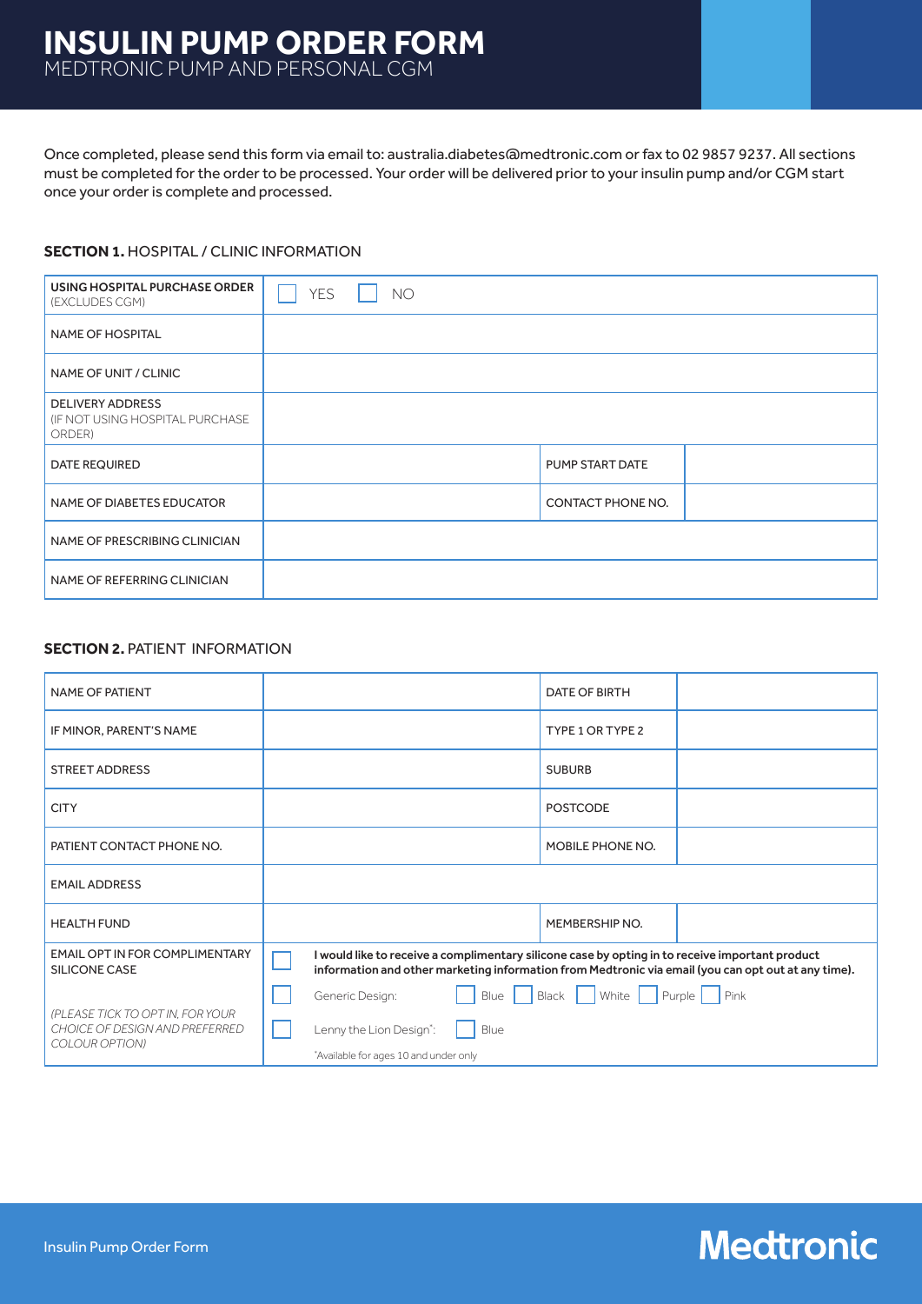## **INSULIN PUMP ORDER FORM** MEDTRONIC PUMP AND PERSONAL CGM

Once completed, please send this form via email to: australia.diabetes@medtronic.com or fax to 02 9857 9237. All sections must be completed for the order to be processed. Your order will be delivered prior to your insulin pump and/or CGM start once your order is complete and processed.

### **SECTION 1. HOSPITAL / CLINIC INFORMATION**

| USING HOSPITAL PURCHASE ORDER<br>(EXCLUDES CGM)                      | <b>YES</b> | <b>NO</b> |                   |  |
|----------------------------------------------------------------------|------------|-----------|-------------------|--|
| <b>NAME OF HOSPITAL</b>                                              |            |           |                   |  |
| NAME OF UNIT / CLINIC                                                |            |           |                   |  |
| <b>DELIVERY ADDRESS</b><br>(IF NOT USING HOSPITAL PURCHASE<br>ORDER) |            |           |                   |  |
| <b>DATE REQUIRED</b>                                                 |            |           | PUMP START DATE   |  |
| NAME OF DIABETES EDUCATOR                                            |            |           | CONTACT PHONE NO. |  |
| NAME OF PRESCRIBING CLINICIAN                                        |            |           |                   |  |
| NAME OF REFERRING CLINICIAN                                          |            |           |                   |  |

### **SECTION 2. PATIENT INFORMATION**

| NAME OF PATIENT                                                                      | <b>DATE OF BIRTH</b>                                                                                                                                                                                   |  |  |
|--------------------------------------------------------------------------------------|--------------------------------------------------------------------------------------------------------------------------------------------------------------------------------------------------------|--|--|
| IF MINOR, PARENT'S NAME                                                              | TYPE 1 OR TYPE 2                                                                                                                                                                                       |  |  |
| <b>STREET ADDRESS</b>                                                                | <b>SUBURB</b>                                                                                                                                                                                          |  |  |
| <b>CITY</b>                                                                          | <b>POSTCODE</b>                                                                                                                                                                                        |  |  |
| PATIENT CONTACT PHONE NO.                                                            | MOBILE PHONE NO.                                                                                                                                                                                       |  |  |
| <b>EMAIL ADDRESS</b>                                                                 |                                                                                                                                                                                                        |  |  |
| <b>HEALTH FUND</b>                                                                   | MEMBERSHIP NO.                                                                                                                                                                                         |  |  |
| <b>EMAIL OPT IN FOR COMPLIMENTARY</b><br>SILICONE CASE                               | I would like to receive a complimentary silicone case by opting in to receive important product<br>information and other marketing information from Medtronic via email (you can opt out at any time). |  |  |
| (PLEASE TICK TO OPT IN, FOR YOUR<br>CHOICE OF DESIGN AND PREFERRED<br>COLOUR OPTION) | Black   White   Purple   Pink<br>Generic Design:<br>Blue                                                                                                                                               |  |  |
|                                                                                      | Lenny the Lion Design <sup>*</sup> :<br>Blue<br>*Available for ages 10 and under only                                                                                                                  |  |  |
|                                                                                      |                                                                                                                                                                                                        |  |  |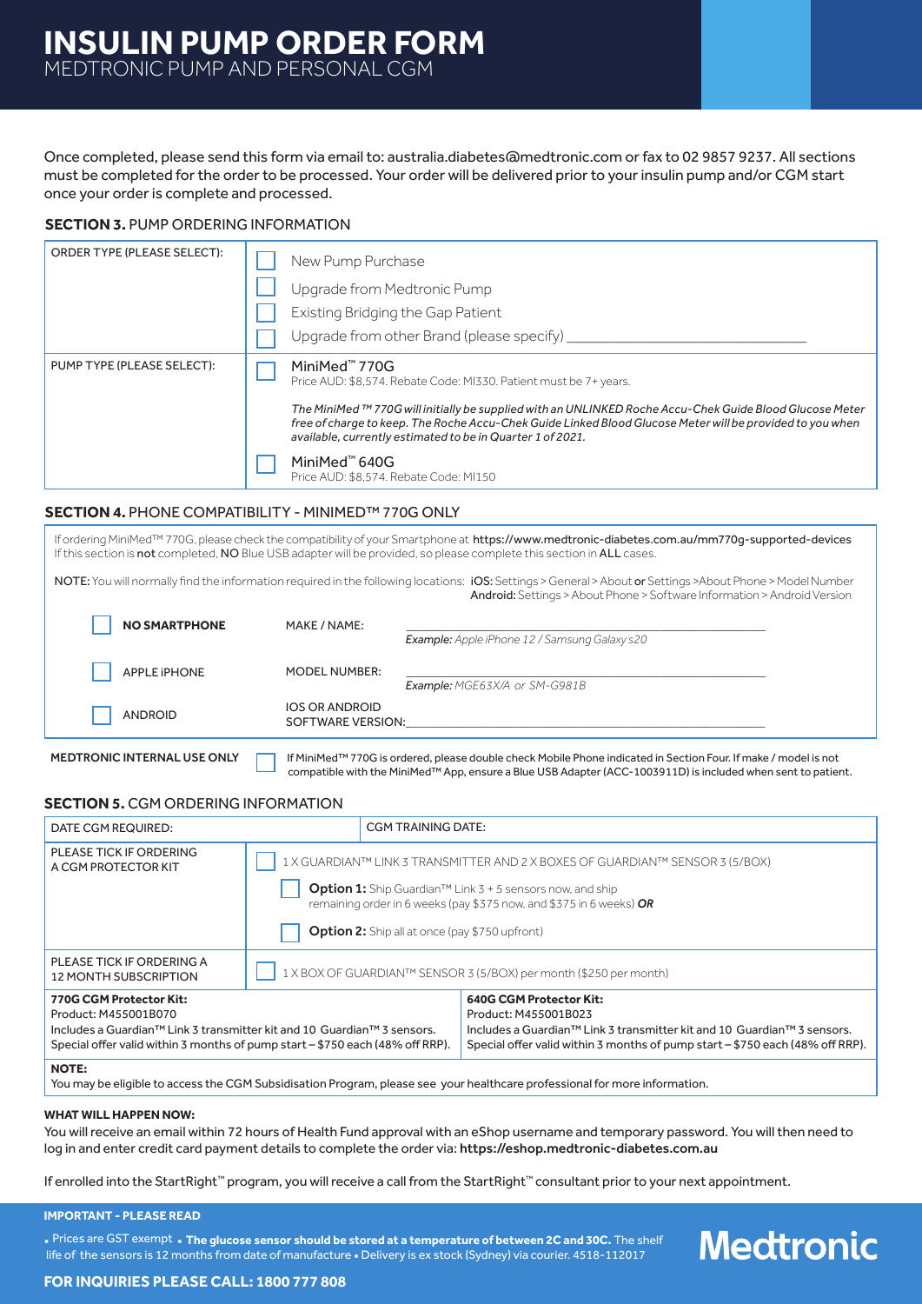Once completed, please send this form via email to: australia.diabetes@medtronic.com or fax to 02 9857 9237. All sections must be completed for the order to be processed. Your order will be delivered prior to your insulin pump and/or CGM start once your order is complete and processed.

### **SECTION 3. PUMP ORDERING INFORMATION**

| ORDER TYPE (PLEASE SELECT): | New Pump Purchase                                                                                                                                                                                                                                                                   |  |
|-----------------------------|-------------------------------------------------------------------------------------------------------------------------------------------------------------------------------------------------------------------------------------------------------------------------------------|--|
|                             | Upgrade from Medtronic Pump                                                                                                                                                                                                                                                         |  |
|                             | Existing Bridging the Gap Patient                                                                                                                                                                                                                                                   |  |
|                             | Upgrade from other Brand (please specify)                                                                                                                                                                                                                                           |  |
| PUMP TYPE (PLEASE SELECT):  | MiniMed <sup>™</sup> 770G<br>Price AUD: \$8,574. Rebate Code: MI330. Patient must be 7+ years.                                                                                                                                                                                      |  |
|                             | The MiniMed ™ 770G will initially be supplied with an UNLINKED Roche Accu-Chek Guide Blood Glucose Meter<br>free of charge to keep. The Roche Accu-Chek Guide Linked Blood Glucose Meter will be provided to you when<br>available, currently estimated to be in Quarter 1 of 2021. |  |
|                             | MiniMed <sup>™</sup> 640G<br>Price AUD: \$8.574. Rebate Code: MI150                                                                                                                                                                                                                 |  |

### **SECTION 4.** PHONE COMPATIBILITY - MINIMED™ 770G ONLY

If ordering MiniMed™ 770G, please check the compatibility of your Smartphone at https://www.medtronic-diabetes.com.au/mm770g-supported-devices If this section is not completed, NO Blue USB adapter will be provided, so please complete this section in ALL cases.

NOTE: You will normally find the information required in the following locations: iOS: Settings > General > About or Settings >About Phone > Model Number Android: Settings > About Phone > Software Information > Android Version

| <b>NO SMARTPHONE</b> | MAKE / NAME:                               |                                               |
|----------------------|--------------------------------------------|-----------------------------------------------|
|                      |                                            | Example: Apple iPhone 12 / Samsung Galaxy s20 |
| <b>APPLE IPHONE</b>  | MODEL NUMBER:                              | Example: MGE63X/A or SM-G981B                 |
| <b>ANDROID</b>       | <b>IOS OR ANDROID</b><br>SOFTWARE VERSION: |                                               |
|                      |                                            |                                               |

MEDTRONIC INTERNAL USE ONLY **If** MiniMed™ 770G is ordered, please double check Mobile Phone indicated in Section Four. If make / model is not compatible with the MiniMed™ App, ensure a Blue USB Adapter (ACC-1003911D) is included when sent to patient.

### **SECTION 5. CGM ORDERING INFORMATION**

| DATE CGM REQUIRED:                                                                                                                                                                                                                  |                                                                              | CGM TRAINING DATE:                                    |                                                                                                                                                                                                                                |
|-------------------------------------------------------------------------------------------------------------------------------------------------------------------------------------------------------------------------------------|------------------------------------------------------------------------------|-------------------------------------------------------|--------------------------------------------------------------------------------------------------------------------------------------------------------------------------------------------------------------------------------|
| PLEASE TICK IF ORDERING<br>A CGM PROTECTOR KIT                                                                                                                                                                                      | 1 X GUARDIAN™ LINK 3 TRANSMITTER AND 2 X BOXES OF GUARDIAN™ SENSOR 3 (5/BOX) |                                                       |                                                                                                                                                                                                                                |
|                                                                                                                                                                                                                                     |                                                                              | <b>Option 2:</b> Ship all at once (pay \$750 upfront) | <b>Option 1:</b> Ship Guardian <sup>TM</sup> Link $3 + 5$ sensors now, and ship<br>remaining order in 6 weeks (pay \$375 now, and \$375 in 6 weeks) $OR$                                                                       |
| PLEASE TICK IF ORDERING A<br>12 MONTH SUBSCRIPTION                                                                                                                                                                                  | 1 X BOX OF GUARDIAN™ SENSOR 3 (5/BOX) per month (\$250 per month)            |                                                       |                                                                                                                                                                                                                                |
| 770G CGM Protector Kit:<br>Product: M455001B070<br>Includes a Guardian <sup>™</sup> Link 3 transmitter kit and 10 Guardian <sup>™</sup> 3 sensors.<br>Special offer valid within 3 months of pump start - \$750 each (48% off RRP). |                                                                              |                                                       | <b>640G CGM Protector Kit:</b><br>Product: M455001B023<br>Includes a Guardian <sup>™</sup> Link 3 transmitter kit and 10 Guardian™ 3 sensors.<br>Special offer valid within 3 months of pump start - \$750 each (48% off RRP). |

#### **NOTE:**

You may be eligible to access the CGM Subsidisation Program, please see your healthcare professional for more information.

#### **WHAT WILL HAPPEN NOW:**

You will receive an email within 72 hours of Health Fund approval with an eShop username and temporary password. You will then need to log in and enter credit card payment details to complete the order via: https://eshop.medtronic-diabetes.com.au

If enrolled into the StartRight™ program, you will receive a call from the StartRight™ consultant prior to your next appointment.

#### **IMPORTANT - PLEASE READ**

**·** Prices are GST exempt **· The glucose sensor should be stored at a temperature of between 2C and 30C.** The shelf life of the sensors is 12 months from date of manufacture **·** Delivery is ex stock (Sydney) via courier. 4518-112017

# **Medtronic**

### **FOR INQUIRIES PLEASE CALL: 1800 777 808**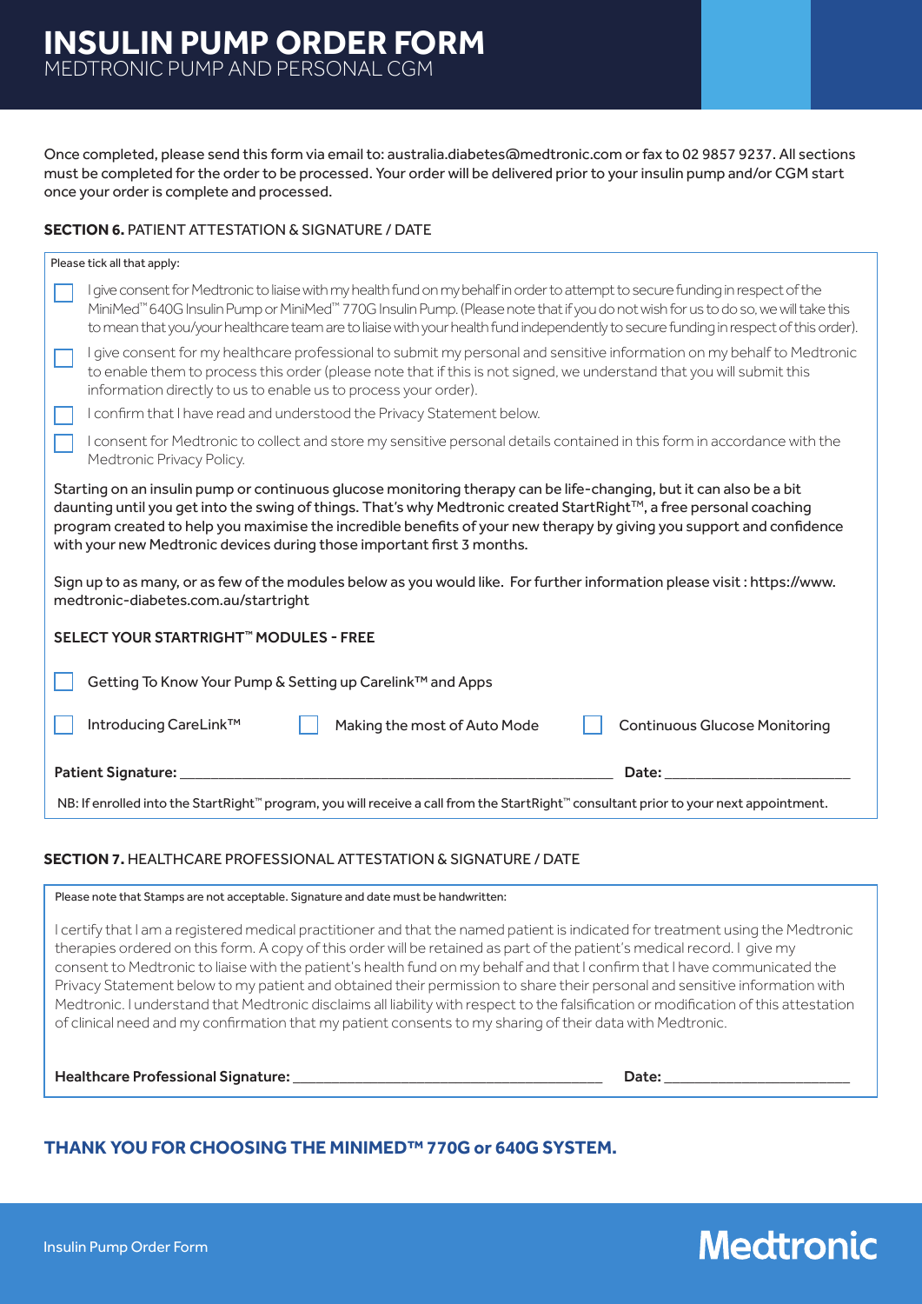Once completed, please send this form via email to: australia.diabetes@medtronic.com or fax to 02 9857 9237. All sections must be completed for the order to be processed. Your order will be delivered prior to your insulin pump and/or CGM start once your order is complete and processed.

### **SECTION 6. PATIENT ATTESTATION & SIGNATURE / DATE**

| Please tick all that apply:                                                                                                                                                                                                                                                                                                                                                                                                                                                                                                                                                                                       |  |  |  |  |
|-------------------------------------------------------------------------------------------------------------------------------------------------------------------------------------------------------------------------------------------------------------------------------------------------------------------------------------------------------------------------------------------------------------------------------------------------------------------------------------------------------------------------------------------------------------------------------------------------------------------|--|--|--|--|
| I give consent for Medtronic to liaise with my health fund on my behalf in order to attempt to secure funding in respect of the<br>MiniMed™ 640G Insulin Pump or MiniMed™ 770G Insulin Pump. (Please note that if you do not wish for us to do so, we will take this<br>to mean that you/your healthcare team are to liaise with your health fund independently to secure funding in respect of this order).                                                                                                                                                                                                      |  |  |  |  |
| I give consent for my healthcare professional to submit my personal and sensitive information on my behalf to Medtronic<br>to enable them to process this order (please note that if this is not signed, we understand that you will submit this<br>information directly to us to enable us to process your order).                                                                                                                                                                                                                                                                                               |  |  |  |  |
| I confirm that I have read and understood the Privacy Statement below.                                                                                                                                                                                                                                                                                                                                                                                                                                                                                                                                            |  |  |  |  |
| I consent for Medtronic to collect and store my sensitive personal details contained in this form in accordance with the<br>Medtronic Privacy Policy.                                                                                                                                                                                                                                                                                                                                                                                                                                                             |  |  |  |  |
| Starting on an insulin pump or continuous glucose monitoring therapy can be life-changing, but it can also be a bit<br>daunting until you get into the swing of things. That's why Medtronic created StartRight™, a free personal coaching<br>program created to help you maximise the incredible benefits of your new therapy by giving you support and confidence<br>with your new Medtronic devices during those important first 3 months.<br>Sign up to as many, or as few of the modules below as you would like. For further information please visit: https://www.<br>medtronic-diabetes.com.au/startright |  |  |  |  |
| SELECT YOUR STARTRIGHT™ MODULES - FREE                                                                                                                                                                                                                                                                                                                                                                                                                                                                                                                                                                            |  |  |  |  |
| Getting To Know Your Pump & Setting up Carelink™ and Apps                                                                                                                                                                                                                                                                                                                                                                                                                                                                                                                                                         |  |  |  |  |
| Introducing CareLink™<br><b>Continuous Glucose Monitoring</b><br>Making the most of Auto Mode                                                                                                                                                                                                                                                                                                                                                                                                                                                                                                                     |  |  |  |  |
| <b>Patient Signature:</b><br>Date:                                                                                                                                                                                                                                                                                                                                                                                                                                                                                                                                                                                |  |  |  |  |
| NB: If enrolled into the StartRight™ program, you will receive a call from the StartRight™ consultant prior to your next appointment.                                                                                                                                                                                                                                                                                                                                                                                                                                                                             |  |  |  |  |
|                                                                                                                                                                                                                                                                                                                                                                                                                                                                                                                                                                                                                   |  |  |  |  |

### **SECTION 7.** HEALTHCARE PROFESSIONAL ATTESTATION & SIGNATURE / DATE

Please note that Stamps are not acceptable. Signature and date must be handwritten:

I certify that I am a registered medical practitioner and that the named patient is indicated for treatment using the Medtronic therapies ordered on this form. A copy of this order will be retained as part of the patient's medical record. I give my consent to Medtronic to liaise with the patient's health fund on my behalf and that I confirm that I have communicated the Privacy Statement below to my patient and obtained their permission to share their personal and sensitive information with Medtronic. I understand that Medtronic disclaims all liability with respect to the falsification or modification of this attestation of clinical need and my confirmation that my patient consents to my sharing of their data with Medtronic.

Healthcare Professional Signature: \_\_\_\_\_\_\_\_\_\_\_\_\_\_\_\_\_\_\_\_\_\_\_\_\_\_\_\_\_\_\_\_\_\_\_\_\_\_\_\_ Date: \_\_\_\_\_\_\_\_\_\_\_\_\_\_\_\_\_\_\_\_\_\_\_\_

### **THANK YOU FOR CHOOSING THE MINIMED™ 770G or 640G SYSTEM.**

# **Medtronic**